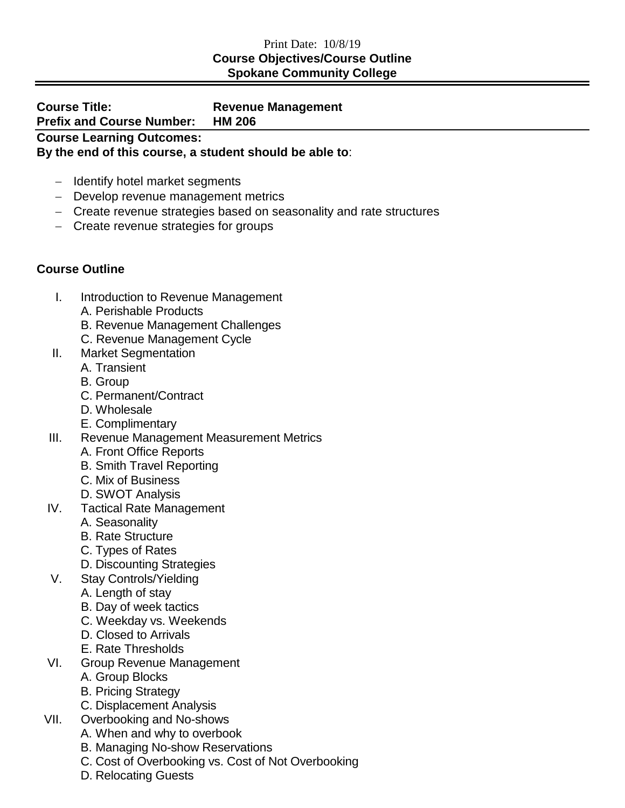## Print Date: 10/8/19 **Course Objectives/Course Outline Spokane Community College**

| <b>Course Title:</b>                                    | <b>Revenue Management</b> |  |
|---------------------------------------------------------|---------------------------|--|
| <b>Prefix and Course Number:</b>                        | <b>HM 206</b>             |  |
| <b>Course Learning Outcomes:</b>                        |                           |  |
| By the end of this course, a student should be able to: |                           |  |

- − Identify hotel market segments
- − Develop revenue management metrics
- − Create revenue strategies based on seasonality and rate structures
- − Create revenue strategies for groups

## **Course Outline**

- I. Introduction to Revenue Management
	- A. Perishable Products
	- B. Revenue Management Challenges
	- C. Revenue Management Cycle
- II. Market Segmentation
	- A. Transient
	- B. Group
	- C. Permanent/Contract
	- D. Wholesale
	- E. Complimentary
- III. Revenue Management Measurement Metrics
	- A. Front Office Reports
	- B. Smith Travel Reporting
	- C. Mix of Business
	- D. SWOT Analysis
- IV. Tactical Rate Management
	- A. Seasonality
	- B. Rate Structure
	- C. Types of Rates
	- D. Discounting Strategies
- V. Stay Controls/Yielding
	- A. Length of stay
	- B. Day of week tactics
	- C. Weekday vs. Weekends
	- D. Closed to Arrivals
	- E. Rate Thresholds
- VI. Group Revenue Management
	- A. Group Blocks
	- B. Pricing Strategy
	- C. Displacement Analysis
- VII. Overbooking and No-shows
	- A. When and why to overbook
	- B. Managing No-show Reservations
	- C. Cost of Overbooking vs. Cost of Not Overbooking
	- D. Relocating Guests